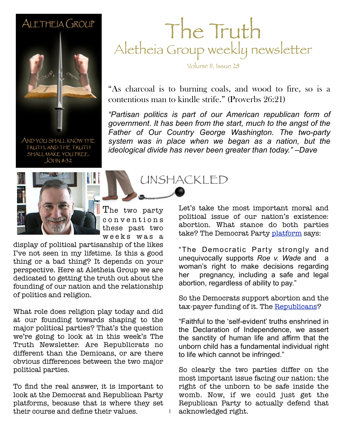#### ALETHEIA GROUP



AND YOU SHALL KNOW THE TRUTH, AND THE TRUTH SHALL MAKE YOU FREE.  $JOHM 8:32$ 



The two party c o n v e n t i o n s these past two w e e k s w a s a

1

display of political partisanship of the likes I've not seen in my lifetime. Is this a good thing or a bad thing? It depends on your perspective. Here at Aletheia Group we are dedicated to getting the truth out about the founding of our nation and the relationship of politics and religion.

What role does religion play today and did at our founding towards shaping to the major political parties? That's the question we're going to look at in this week's The Truth Newsletter. Are Republicrats no different than the Demicans, or are there obvious differences between the two major political parties.

To find the real answer, it is important to look at the Democrat and Republican Party platforms, because that is where they set their course and define their values.

### The Truth Aletheia Group weekly newsletter

Volume II, Issue 28

"As charcoal is to burning coals, and wood to fire, so is a contentious man to kindle strife." (Proverbs 26:21)

**February 26, 2011 Sample** *government. It has been from the start, much to the angst of the "Partisan politics is part of our American republican form of Father of Our Country George Washington. The two-party system was in place when we began as a nation, but the ideological divide has never been greater than today." –Dave*

UNSHACKLED

Let's take the most important moral and political issue of our nation's existence: abortion. What stance do both parties take? The Democrat Party [platform](http://assets.dstatic.org/dnc-platform/2012-National-Platform.pdf) says:

"The Democratic Party strongly and unequivocally supports *Roe v. Wade* and a woman's right to make decisions regarding her pregnancy, including a safe and legal abortion, regardless of ability to pay."

So the Democrats support abortion and the tax-payer funding of it. The [Republicans?](http://www.gop.com/2012-republican-platform_home/)

"Faithful to the 'self-evident' truths enshrined in the Declaration of Independence, we assert the sanctity of human life and affirm that the unborn child has a fundamental individual right to life which cannot be infringed."

So clearly the two parties differ on the most important issue facing our nation: the right of the unborn to be safe inside the womb. Now, if we could just get the Republican Party to actually defend that acknowledged right.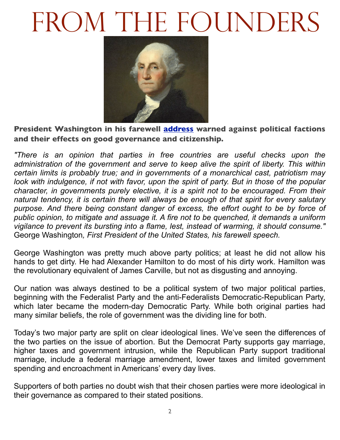## FROM THE FOUNDERS



**President Washington in his farewell [address](http://avalon.law.yale.edu/18th_century/washing.asp) warned against political factions and their effects on good governance and citizenship.**

*"There is an opinion that parties in free countries are useful checks upon the administration of the government and serve to keep alive the spirit of liberty. This within certain limits is probably true; and in governments of a monarchical cast, patriotism may*  look with indulgence, if not with favor, upon the spirit of party. But in those of the popular *character, in governments purely elective, it is a spirit not to be encouraged. From their natural tendency, it is certain there will always be enough of that spirit for every salutary purpose. And there being constant danger of excess, the effort ought to be by force of public opinion, to mitigate and assuage it. A fire not to be quenched, it demands a uniform vigilance to prevent its bursting into a flame, lest, instead of warming, it should consume."*  George Washington*, First President of the United States, his farewell speech.*

George Washington was pretty much above party politics; at least he did not allow his hands to get dirty. He had Alexander Hamilton to do most of his dirty work. Hamilton was the revolutionary equivalent of James Carville, but not as disgusting and annoying.

Our nation was always destined to be a political system of two major political parties, beginning with the Federalist Party and the anti-Federalists Democratic-Republican Party, which later became the modern-day Democratic Party. While both original parties had many similar beliefs, the role of government was the dividing line for both.

Today's two major party are split on clear ideological lines. We've seen the differences of the two parties on the issue of abortion. But the Democrat Party supports gay marriage, higher taxes and government intrusion, while the Republican Party support traditional marriage, include a federal marriage amendment, lower taxes and limited government spending and encroachment in Americans' every day lives.

Supporters of both parties no doubt wish that their chosen parties were more ideological in their governance as compared to their stated positions.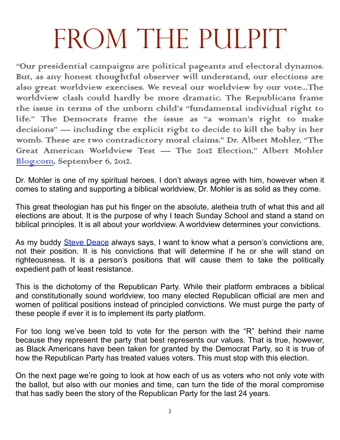# FROM THE PUIPIT

"Our presidential campaigns are political pageants and electoral dynamos. Burt, as any honest thoughtful observer will understand, our elections are also great worldview exercises. We reveal our worldview by our vote...The worldview clash could hardly be more dramatic. The Republicans frame the issue in terms of the unborn child's "fundamental individual right to life." The Democrats frame the issue as "a woman's right to make decisions" — including the explicit right to decide to kill the baby in her womb. These are two contradictory moral claims." Dr. Albert Mohler, "The Great American Worldview Test — The 2012 Election," Albert Mohler Blog.com, September 6, 2012.

Dr. Mohler is one of my spiritual heroes. I don't always agree with him, however when it comes to stating and supporting a biblical worldview, Dr. Mohler is as solid as they come.

This great theologian has put his finger on the absolute, aletheia truth of what this and all elections are about. It is the purpose of why I teach Sunday School and stand a stand on biblical principles. It is all about your worldview. A worldview determines your convictions.

As my buddy [Steve Deace](http://stevedeace.com) always says, I want to know what a person's convictions are, not their position. It is his convictions that will determine if he or she will stand on righteousness. It is a person's positions that will cause them to take the politically expedient path of least resistance.

This is the dichotomy of the Republican Party. While their platform embraces a biblical and constitutionally sound worldview, too many elected Republican official are men and women of political positions instead of principled convictions. We must purge the party of these people if ever it is to implement its party platform.

For too long we've been told to vote for the person with the "R" behind their name because they represent the party that best represents our values. That is true, however, as Black Americans have been taken for granted by the Democrat Party, so it is true of how the Republican Party has treated values voters. This must stop with this election.

On the next page we're going to look at how each of us as voters who not only vote with the ballot, but also with our monies and time, can turn the tide of the moral compromise that has sadly been the story of the Republican Party for the last 24 years.